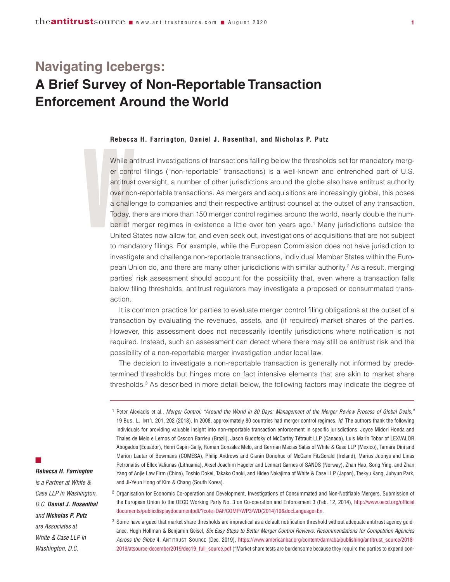# **Navigating Icebergs: A Brief Survey of Non-Reportable Transaction Enforcement Around the World**

#### **Rebecca H. Farrington, Daniel J. Rosenthal, and Nicholas P. Putz**

Rebecca<br>
While are<br>
er contr<br>
antitrust<br>
over nor<br>
a challe<br>
Today, th<br>
ber of n<br>
United S While antitrust investigations of transactions falling below the thresholds set for mandatory merger control filings ("non-reportable" transactions) is a well-known and entrenched part of U.S. antitrust oversight, a number of other jurisdictions around the globe also have antitrust authority over non-reportable transactions. As mergers and acquisitions are increasingly global, this poses a challenge to companies and their respective antitrust counsel at the outset of any transaction. Today, there are more than 150 merger control regimes around the world, nearly double the number of merger regimes in existence a little over ten years ago. <sup>1</sup> Many jurisdictions outside the United States now allow for, and even seek out, investigations of acquisitions that are not subject to mandatory filings. For example, while the European Commission does not have jurisdiction to investigate and challenge non-reportable transactions, individual Member States within the European Union do, and there are many other jurisdictions with similar authority. <sup>2</sup> As a result, merging parties' risk assessment should account for the possibility that, even where a transaction falls below filing thresholds, antitrust regulators may investigate a proposed or consummated transaction.

It is common practice for parties to evaluate merger control filing obligations at the outset of a transaction by evaluating the revenues, assets, and (if required) market shares of the parties. However, this assessment does not necessarily identify jurisdictions where notification is not required. Instead, such an assessment can detect where there may still be antitrust risk and the possibility of a non-reportable merger investigation under local law.

The decision to investigate a non-reportable transaction is generally not informed by predetermined thresholds but hinges more on fact intensive elements that are akin to market share thresholds. <sup>3</sup> As described in more detail below, the following factors may indicate the degree of

<sup>2</sup> Organisation for Economic Co-operation and Development, Investigations of Consummated and Non-Notifiable Mergers, Submission of the European Union to the OECD Working Party No. 3 on Co-operation and Enforcement 3 (Feb. 12, 2014), [http://www.oecd.org/official](http://www.oecd.org/officialdocuments/publicdisplaydocumentpdf/?cote=DAF/COMP/WP3/WD(2014)19&docLanguage=En) [documents/publicdisplaydocumentpdf/?cote=DAF/COMP/WP3/WD\(2014\)19&docLanguage=En.](http://www.oecd.org/officialdocuments/publicdisplaydocumentpdf/?cote=DAF/COMP/WP3/WD(2014)19&docLanguage=En)

 $3$  Some have argued that market share thresholds are impractical as a default notification threshold without adequate antitrust agency guidance. Hugh Hollman & Benjamin Geisel, *Six Easy Steps to Better Merger Control Reviews: Recommendations for Competition Agencies Across the Globe* 4, ANTITRUST SOURCE (Dec. 2019), https://www.americanbar.org/content/dam/aba/publishing/antitrust\_source/2018- 2019/atsource-december2019/dec19\_full\_source.pdf ("Market share tests are burdensome because they require the parties to expend con-

 $\mathbb{Z}^2$ 

*Rebecca H. Farrington is a Partner at White &*

*Case LLP in Washington, D.C. Daniel J. Rosenthal and Nicholas P. Putz are Associates at White & Case LLP in Washington, D.C.*

<sup>&</sup>lt;sup>1</sup> Peter Alexiadis et al., Merger Control: "Around the World in 80 Days: Management of the Merger Review Process of Global Deals," 19 BUS. L. INT'L 201, 202 (2018). In 2008, approximately 80 countries had merger control regimes. *Id.* The authors thank the following individuals for providing valuable insight into non-reportable transaction enforcement in specific jurisdictions: Joyce Midori Honda and Thales de Melo e Lemos of Cescon Barrieu (Brazil), Jason Gudofsky of McCarthy Tétrault LLP (Canada), Luis Marín Tobar of LEXVALOR Abogados (Ecuador), Henri Capin-Gally, Roman Gonzalez Melo, and German Macias Salas of White & Case LLP (Mexico), Tamara Dini and Marion Lautar of Bowmans (COMESA), Philip Andrews and Ciarán Donohue of McCann FitzGerald (Ireland), Marius Juonys and Linas Petronaitis of Ellex Valiunas (Lithuania), Aksel Joachim Hageler and Lennart Garnes of SANDS (Norway), Zhan Hao, Song Ying, and Zhan Yang of Anjie Law Firm (China), Toshio Dokei, Takako Onoki, and Hideo Nakajima of White & Case LLP (Japan), Taekyu Kang, Juhyun Park, and Ji-Yeun Hong of Kim & Chang (South Korea).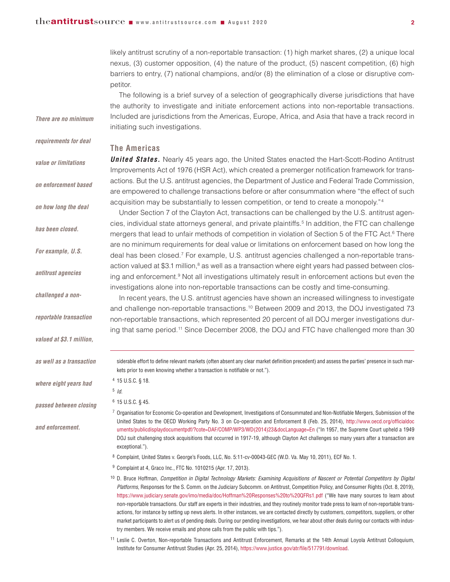likely antitrust scrutiny of a non-reportable transaction: (1) high market shares, (2) a unique local nexus, (3) customer opposition, (4) the nature of the product, (5) nascent competition, (6) high barriers to entry, (7) national champions, and/or (8) the elimination of a close or disruptive competitor.

The following is a brief survey of a selection of geographically diverse jurisdictions that have the authority to investigate and initiate enforcement actions into non-reportable transactions. Included are jurisdictions from the Americas, Europe, Africa, and Asia that have a track record in initiating such investigations.

## **The Americas**

**United States.** Nearly 45 years ago, the United States enacted the Hart-Scott-Rodino Antitrust Improvements Act of 1976 (HSR Act), which created a premerger notification framework for transactions. But the U.S. antitrust agencies, the Department of Justice and Federal Trade Commission, are empowered to challenge transactions before or after consummation where "the effect of such acquisition may be substantially to lessen competition, or tend to create a monopoly."4

Under Section 7 of the Clayton Act, transactions can be challenged by the U.S. antitrust agencies, individual state attorneys general, and private plaintiffs. <sup>5</sup> In addition, the FTC can challenge mergers that lead to unfair methods of competition in violation of Section 5 of the FTC Act. <sup>6</sup> There are no minimum requirements for deal value or limitations on enforcement based on how long the deal has been closed. <sup>7</sup> For example, U.S. antitrust agencies challenged a non-reportable transaction valued at \$3.1 million,<sup>8</sup> as well as a transaction where eight years had passed between closing and enforcement.<sup>9</sup> Not all investigations ultimately result in enforcement actions but even the investigations alone into non-reportable transactions can be costly and time-consuming.

In recent years, the U.S. antitrust agencies have shown an increased willingness to investigate and challenge non-reportable transactions. <sup>10</sup> Between 2009 and 2013, the DOJ investigated 73 non-reportable transactions, which represented 20 percent of all DOJ merger investigations during that same period. <sup>11</sup> Since December 2008, the DOJ and FTC have challenged more than 30

siderable effort to define relevant markets (often absent any clear market definition precedent) and assess the parties' presence in such markets prior to even knowing whether a transaction is notifiable or not.").

<sup>4</sup> 15 U.S.C. § 18.

```
5 Id.
```
<sup>6</sup> 15 U.S.C. § 45.

 $7$  Organisation for Economic Co-operation and Development, Investigations of Consummated and Non-Notifiable Mergers, Submission of the United States to the OECD Working Party No. 3 on Co-operation and Enforcement 8 (Feb. 25, 2014), [http://www.oecd.org/officialdoc](http://www.oecd.org/officialdocuments/publicdisplaydocumentpdf/?cote=DAF/COMP/WP3/WD(2014)23&docLanguage=En) [uments/publicdisplaydocumentpdf/?cote=DAF/COMP/WP3/WD\(2014\)23&docLanguage=En](http://www.oecd.org/officialdocuments/publicdisplaydocumentpdf/?cote=DAF/COMP/WP3/WD(2014)23&docLanguage=En) ("In 1957, the Supreme Court upheld a 1949 DOJ suit challenging stock acquisitions that occurred in 1917-19, although Clayton Act challenges so many years after a transaction are exceptional.").

<sup>8</sup> Complaint, United States v. George's Foods, LLC, No. 5:11-cv-00043-GEC (W.D. Va. May 10, 2011), ECF No. 1.

<sup>9</sup> Complaint at 4, Graco Inc., FTC No. 1010215 (Apr. 17, 2013).

<sup>10</sup> D. Bruce Hoffman, Competition in Digital Technology Markets: Examining Acquisitions of Nascent or Potential Competitors by Digital *Platforms*, Responses for the S. Comm. on the Judiciary Subcomm. on Antitrust, Competition Policy, and Consumer Rights (Oct. 8, 2019), https://www.judiciary.senate.gov/imo/media/doc/Hoffman%20Responses%20to%20QFRs1.pdf ("We have many sources to learn about non-reportable transactions. Our staff are experts in their industries, and they routinely monitor trade press to learn of non-reportable transactions, for instance by setting up news alerts. In other instances, we are contacted directly by customers, competitors, suppliers, or other market participants to alert us of pending deals. During our pending investigations, we hear about other deals during our contacts with industry members. We receive emails and phone calls from the public with tips.").

<sup>11</sup> Leslie C. Overton, Non-reportable Transactions and Antitrust Enforcement, Remarks at the 14th Annual Loyola Antitrust Colloquium, Institute for Consumer Antitrust Studies (Apr. 25, 2014), https://www.justice.gov/atr/file/517791/download.

*There are no minimum*

*requirements for deal*

*value or limitations*

- *on enforcement based*
- *on how long the deal*

*has been closed.*

*For example, U.S.*

*antitrust agencies*

*challenged a non-*

*reportable transaction*

*valued at \$3.1 million,*

*as well as a transaction*

*where eight years had*

*passed between closing*

*and enforcement.*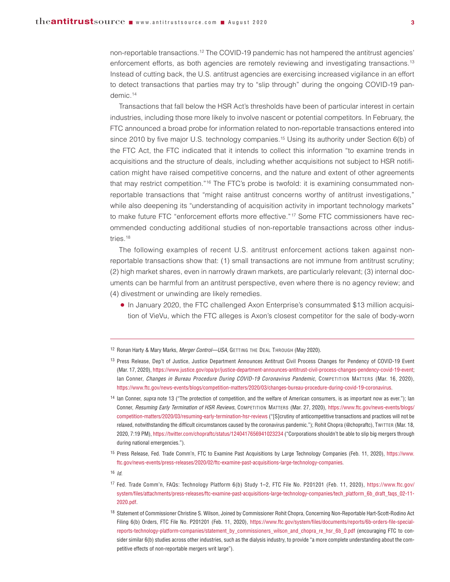non-reportable transactions.12 The COVID-19 pandemic has not hampered the antitrust agencies' enforcement efforts, as both agencies are remotely reviewing and investigating transactions.13 Instead of cutting back, the U.S. antitrust agencies are exercising increased vigilance in an effort to detect transactions that parties may try to "slip through" during the ongoing COVID-19 pandemic.14

Transactions that fall below the HSR Act's thresholds have been of particular interest in certain industries, including those more likely to involve nascent or potential competitors. In February, the FTC announced a broad probe for information related to non-reportable transactions entered into since 2010 by five major U.S. technology companies.<sup>15</sup> Using its authority under Section 6(b) of the FTC Act, the FTC indicated that it intends to collect this information "to examine trends in acquisitions and the structure of deals, including whether acquisitions not subject to HSR notification might have raised competitive concerns, and the nature and extent of other agreements that may restrict competition."16 The FTC's probe is twofold: it is examining consummated nonreportable transactions that "might raise antitrust concerns worthy of antitrust investigations," while also deepening its "understanding of acquisition activity in important technology markets" to make future FTC "enforcement efforts more effective."<sup>17</sup> Some FTC commissioners have recommended conducting additional studies of non-reportable transactions across other industries.<sup>18</sup>

The following examples of recent U.S. antitrust enforcement actions taken against nonreportable transactions show that: (1) small transactions are not immune from antitrust scrutiny; (2) high market shares, even in narrowly drawn markets, are particularly relevant; (3) internal documents can be harmful from an antitrust perspective, even where there is no agency review; and (4) divestment or unwinding are likely remedies.

**●** In January 2020, the FTC challenged Axon Enterprise's consummated \$13 million acquisition of VieVu, which the FTC alleges is Axon's closest competitor for the sale of body-worn

<sup>12</sup> Ronan Harty & Mary Marks, *Merger Control—USA*, GETTING THE DEAL THROUGH (May 2020).

<sup>&</sup>lt;sup>13</sup> Press Release, Dep't of Justice, Justice Department Announces Antitrust Civil Process Changes for Pendency of COVID-19 Event (Mar. 17, 2020), https://www.justice.gov/opa/pr/justice-department-announces-antitrust-civil-process-changes-pendency-covid-19-event; Ian Conner, *Changes in Bureau Procedure During COVID-19 Coronavirus Pandemic*, COMPETITION MATTERS (Mar. 16, 2020), https://www.ftc.gov/news-events/blogs/competition-matters/2020/03/changes-bureau-procedure-during-covid-19-coronavirus.

<sup>&</sup>lt;sup>14</sup> Ian Conner, *supra* note 13 ("The protection of competition, and the welfare of American consumers, is as important now as ever."); Ian Conner, *Resuming Early Termination of HSR Reviews*, COMPETITION MATTERS (Mar. 27, 2020), [https://www.ftc.gov/news-events/blogs/](https://www.ftc.gov/news-events/blogs/competition-matters/2020/03/resuming-early-termination-hsr-reviews) [competition-matters/2020/03/resuming-early-termination-hsr-reviews](https://www.ftc.gov/news-events/blogs/competition-matters/2020/03/resuming-early-termination-hsr-reviews) ("[S]crutiny of anticompetitive transactions and practices will not be relaxed, notwithstanding the difficult circumstances caused by the coronavirus pandemic."); Rohit Chopra (@chopraftc), TWITTER (Mar. 18, 2020, 7:19 PM), https://twitter.com/chopraftc/status/1240417656941023234 ("Corporations shouldn't be able to slip big mergers through during national emergencies.").

<sup>15</sup> Press Release, Fed. Trade Comm'n, FTC to Examine Past Acquisitions by Large Technology Companies (Feb. 11, 2020), [https://www.](https://www.ftc.gov/news-events/press-releases/2020/02/ftc-examine-past-acquisitions-large-technology-companies) [ftc.gov/news-events/press-releases/2020/02/ftc-examine-past-acquisitions-large-technology-companies.](https://www.ftc.gov/news-events/press-releases/2020/02/ftc-examine-past-acquisitions-large-technology-companies)

<sup>17</sup> Fed. Trade Comm'n, FAQs: Technology Platform 6(b) Study 1–2, FTC File No. P201201 (Feb. 11, 2020), [https://www.ftc.gov/](https://www.ftc.gov/system/files/attachments/press-releases/ftc-examine-past-acquisitions-large-technology-companies/tech_platform_6b_draft_faqs_02-11-2020.pdf) [system/files/attachments/press-releases/ftc-examine-past-acquisitions-large-technology-companies/tech\\_platform\\_6b\\_draft\\_faqs\\_02-11-](https://www.ftc.gov/system/files/attachments/press-releases/ftc-examine-past-acquisitions-large-technology-companies/tech_platform_6b_draft_faqs_02-11-2020.pdf) [2020.pdf.](https://www.ftc.gov/system/files/attachments/press-releases/ftc-examine-past-acquisitions-large-technology-companies/tech_platform_6b_draft_faqs_02-11-2020.pdf)

<sup>18</sup> Statement of Commissioner Christine S. Wilson, Joined by Commissioner Rohit Chopra, Concerning Non-Reportable Hart-Scott-Rodino Act Filing 6(b) Orders, FTC File No. P201201 (Feb. 11, 2020), https://www.ftc.gov/system/files/documents/reports/6b-orders-file-specialreports-technology-platform-companies/statement\_by\_commissioners\_wilson\_and\_chopra\_re\_hsr\_6b\_0.pdf (encouraging FTC to consider similar 6(b) studies across other industries, such as the dialysis industry, to provide "a more complete understanding about the competitive effects of non-reportable mergers writ large").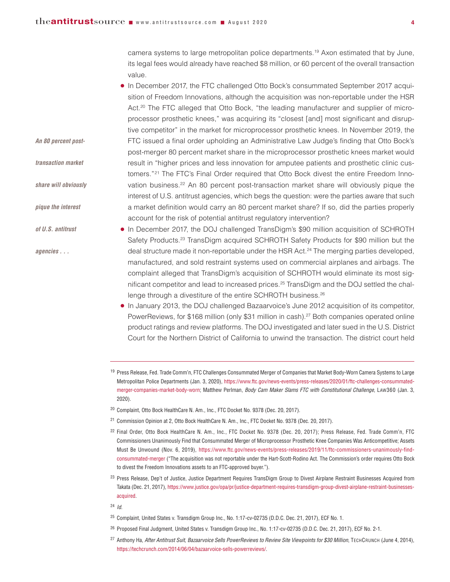*An 80 percent post-*

*transaction market*

*share will obviously*

*pique the interest* 

*of U.S. antitrust* 

*agencies . . .* 

camera systems to large metropolitan police departments.19 Axon estimated that by June, its legal fees would already have reached \$8 million, or 60 percent of the overall transaction value.

- **●** In December 2017, the FTC challenged Otto Bock's consummated September 2017 acquisition of Freedom Innovations, although the acquisition was non-reportable under the HSR Act.<sup>20</sup> The FTC alleged that Otto Bock, "the leading manufacturer and supplier of microprocessor prosthetic knees," was acquiring its "closest [and] most significant and disruptive competitor" in the market for microprocessor prosthetic knees. In November 2019, the FTC issued a final order upholding an Administrative Law Judge's finding that Otto Bock's post-merger 80 percent market share in the microprocessor prosthetic knees market would result in "higher prices and less innovation for amputee patients and prosthetic clinic customers."<sup>21</sup> The FTC's Final Order required that Otto Bock divest the entire Freedom Innovation business.<sup>22</sup> An 80 percent post-transaction market share will obviously pique the interest of U.S. antitrust agencies, which begs the question: were the parties aware that such a market definition would carry an 80 percent market share? If so, did the parties properly account for the risk of potential antitrust regulatory intervention?
- **●** In December 2017, the DOJ challenged TransDigm's \$90 million acquisition of SCHROTH Safety Products.23 TransDigm acquired SCHROTH Safety Products for \$90 million but the deal structure made it non-reportable under the HSR Act.<sup>24</sup> The merging parties developed, manufactured, and sold restraint systems used on commercial airplanes and airbags. The complaint alleged that TransDigm's acquisition of SCHROTH would eliminate its most significant competitor and lead to increased prices.25 TransDigm and the DOJ settled the challenge through a divestiture of the entire SCHROTH business.<sup>26</sup>
	- **●** In January 2013, the DOJ challenged Bazaarvoice's June 2012 acquisition of its competitor, PowerReviews, for \$168 million (only \$31 million in cash).<sup>27</sup> Both companies operated online product ratings and review platforms. The DOJ investigated and later sued in the U.S. District Court for the Northern District of California to unwind the transaction. The district court held
	- <sup>19</sup> Press Release, Fed. Trade Comm'n, FTC Challenges Consummated Merger of Companies that Market Body-Worn Camera Systems to Large Metropolitan Police Departments (Jan. 3, 2020), https://www.ftc.gov/news-events/press-releases/2020/01/ftc-challenges-consummatedmerger-companies-market-body-worn; Matthew Perlman, *Body Cam Maker Slams FTC with Constitutional Challenge*, LAW360 (Jan. 3, 2020).
	- <sup>20</sup> Complaint, Otto Bock HealthCare N. Am., Inc., FTC Docket No. 9378 (Dec. 20, 2017).
- <sup>21</sup> Commission Opinion at 2, Otto Bock HealthCare N. Am., Inc., FTC Docket No. 9378 (Dec. 20, 2017).
- <sup>22</sup> Final Order, Otto Bock HealthCare N. Am., Inc., FTC Docket No. 9378 (Dec. 20, 2017); Press Release, Fed. Trade Comm'n, FTC Commissioners Unanimously Find that Consummated Merger of Microprocessor Prosthetic Knee Companies Was Anticompetitive; Assets Must Be Unwound (Nov. 6, 2019), https://www.ftc.gov/news-events/press-releases/2019/11/ftc-commissioners-unanimously-findconsummated-merger ("The acquisition was not reportable under the Hart-Scott-Rodino Act. The Commission's order requires Otto Bock to divest the Freedom Innovations assets to an FTC-approved buyer.").
- <sup>23</sup> Press Release, Dep't of Justice, Justice Department Requires TransDigm Group to Divest Airplane Restraint Businesses Acquired from Takata (Dec. 21, 2017), [https://www.justice.gov/opa/pr/justice-department-requires-transdigm-group-divest-airplane-restraint-businesses](https://www.justice.gov/opa/pr/justice-department-requires-transdigm-group-divest-airplane-restraint-businesses-acquired)[acquired.](https://www.justice.gov/opa/pr/justice-department-requires-transdigm-group-divest-airplane-restraint-businesses-acquired)
- <sup>24</sup> *Id.*
- <sup>25</sup> Complaint, United States v. Transdigm Group Inc., No. 1:17-cv-02735 (D.D.C. Dec. 21, 2017), ECF No. 1.
- <sup>26</sup> Proposed Final Judgment, United States v. Transdigm Group Inc., No. 1:17-cv-02735 (D.D.C. Dec. 21, 2017), ECF No. 2-1.
- <sup>27</sup> Anthony Ha, *After Antitrust Suit, Bazaarvoice Sells PowerReviews to Review Site Viewpoints for \$30 Million*, TECHCRUNCH (June 4, 2014), https://techcrunch.com/2014/06/04/bazaarvoice-sells-powerreviews/.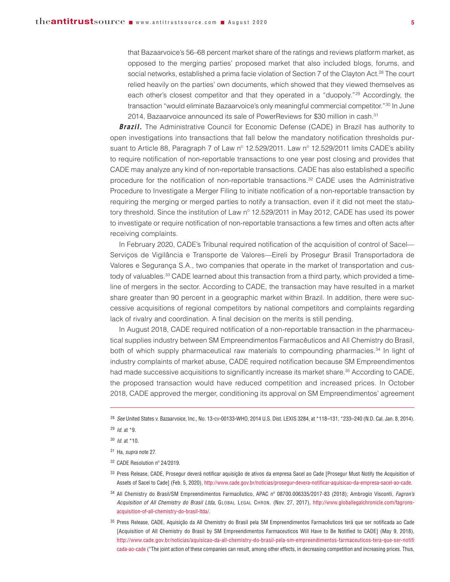that Bazaarvoice's 56–68 percent market share of the ratings and reviews platform market, as opposed to the merging parties' proposed market that also included blogs, forums, and social networks, established a prima facie violation of Section 7 of the Clayton Act. <sup>28</sup> The court relied heavily on the parties' own documents, which showed that they viewed themselves as each other's closest competitor and that they operated in a "duopoly."29 Accordingly, the transaction "would eliminate Bazaarvoice's only meaningful commercial competitor."30 In June 2014, Bazaarvoice announced its sale of PowerReviews for \$30 million in cash. 31

**Brazil.** The Administrative Council for Economic Defense (CADE) in Brazil has authority to open investigations into transactions that fall below the mandatory notification thresholds pursuant to Article 88, Paragraph 7 of Law nº 12.529/2011. Law nº 12.529/2011 limits CADE's ability to require notification of non-reportable transactions to one year post closing and provides that CADE may analyze any kind of non-reportable transactions. CADE has also established a specific procedure for the notification of non-reportable transactions.<sup>32</sup> CADE uses the Administrative Procedure to Investigate a Merger Filing to initiate notification of a non-reportable transaction by requiring the merging or merged parties to notify a transaction, even if it did not meet the statutory threshold. Since the institution of Law n° 12.529/2011 in May 2012, CADE has used its power to investigate or require notification of non-reportable transactions a few times and often acts after receiving complaints.

In February 2020, CADE's Tribunal required notification of the acquisition of control of Sacel— Serviços de Vigilância e Transporte de Valores—Eireli by Prosegur Brasil Transportadora de Valores e Segurança S.A., two companies that operate in the market of transportation and custody of valuables.<sup>33</sup> CADE learned about this transaction from a third party, which provided a timeline of mergers in the sector. According to CADE, the transaction may have resulted in a market share greater than 90 percent in a geographic market within Brazil. In addition, there were successive acquisitions of regional competitors by national competitors and complaints regarding lack of rivalry and coordination. A final decision on the merits is still pending.

In August 2018, CADE required notification of a non-reportable transaction in the pharmaceutical supplies industry between SM Empreendimentos Farmacêuticos and All Chemistry do Brasil, both of which supply pharmaceutical raw materials to compounding pharmacies. <sup>34</sup> In light of industry complaints of market abuse, CADE required notification because SM Empreendimentos had made successive acquisitions to significantly increase its market share. <sup>35</sup> According to CADE, the proposed transaction would have reduced competition and increased prices. In October 2018, CADE approved the merger, conditioning its approval on SM Empreendimentos' agreement

- 33 Press Release, CADE, Prosegur deverá notificar aquisição de ativos da empresa Sacel ao Cade [Prosegur Must Notify the Acquisition of Assets of Sacel to Cade] (Feb. 5, 2020), http://www.cade.gov.br/noticias/prosegur-devera-notificar-aquisicao-da-empresa-sacel-ao-cade.
- <sup>34</sup> All Chemistry do Brasil/SM Empreendimentos Farmacêutico, APAC nº 08700.006335/2017-83 (2018); Ambrogio Visconti, *Fagron's Acquisition of All Chemistry do Brasil Ltda*, GLOBAL LEGAL CHRON. (Nov. 27, 2017), http://www.globallegalchronicle.com/fagronsacquisition-of-all-chemistry-do-brasil-ltda/.
- <sup>35</sup> Press Release, CADE, Aquisição da All Chemistry do Brasil pela SM Empreendimentos Farmacêuticos terá que ser notificada ao Cade [Acquisition of All Chemistry do Brasil by SM Empreendimentos Farmaceuticos Will Have to Be Notified to CADE] (May 9, 2018), [http://www.cade.gov.br/noticias/aquisicao-da-all-chemistry-do-brasil-pela-sm-empreendimentos-farmaceuticos-tera-que-ser-notifi](http://www.cade.gov.br/noticias/aquisicao-da-all-chemistry-do-brasil-pela-sm-empreendimentos-farmaceuticos-tera-que-ser-notificada-ao-cade) [cada-ao-cade](http://www.cade.gov.br/noticias/aquisicao-da-all-chemistry-do-brasil-pela-sm-empreendimentos-farmaceuticos-tera-que-ser-notificada-ao-cade) ("The joint action of these companies can result, among other effects, in decreasing competition and increasing prices. Thus,

<sup>28</sup> *See* United States v. Bazaarvoice, Inc., No. 13-cv-00133-WHO, 2014 U.S. Dist. LEXIS 3284, at \*118–131, \*233–240 (N.D. Cal. Jan. 8, 2014).

<sup>29</sup> *Id.* at \*9.

<sup>30</sup> *Id.* at \*10.

<sup>31</sup> Ha, *supra* note 27.

<sup>32</sup> CADE Resolution nº 24/2019.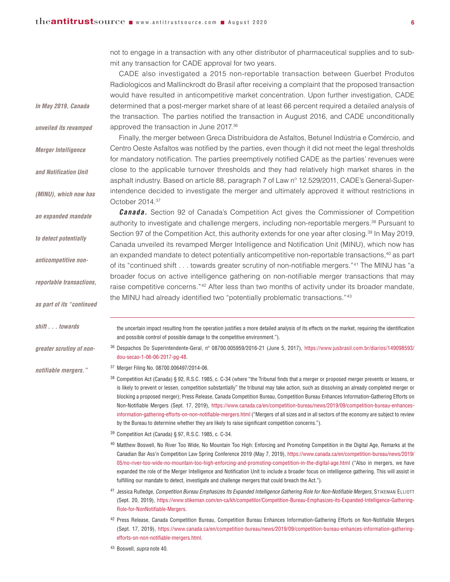*In May 2019, Canada*

*unveiled its revamped*

*Merger Intelligence*

*and Notification Unit*

*(MINU), which now has*

*an expanded mandate*

*to detect potentially*

*anticompetitive non-*

*reportable transactions,*

*as part of its "continued*

*greater scrutiny of non-*

*notifiable mergers."*

*shift . . . towards*

not to engage in a transaction with any other distributor of pharmaceutical supplies and to submit any transaction for CADE approval for two years.

CADE also investigated a 2015 non-reportable transaction between Guerbet Produtos Radiologicos and Mallinckrodt do Brasil after receiving a complaint that the proposed transaction would have resulted in anticompetitive market concentration. Upon further investigation, CADE determined that a post-merger market share of at least 66 percent required a detailed analysis of the transaction. The parties notified the transaction in August 2016, and CADE unconditionally approved the transaction in June 2017.36

Finally, the merger between Greca Distribuidora de Asfaltos, Betunel Indústria e Comércio, and Centro Oeste Asfaltos was notified by the parties, even though it did not meet the legal thresholds for mandatory notification. The parties preemptively notified CADE as the parties' revenues were close to the applicable turnover thresholds and they had relatively high market shares in the

asphalt industry. Based on article 88, paragraph 7 of Law nº 12.529/2011, CADE's General-Superintendence decided to investigate the merger and ultimately approved it without restrictions in October 2014. 37

*Canada.* Section 92 of Canada's Competition Act gives the Commissioner of Competition authority to investigate and challenge mergers, including non-reportable mergers. <sup>38</sup> Pursuant to Section 97 of the Competition Act, this authority extends for one year after closing. <sup>39</sup> In May 2019, Canada unveiled its revamped Merger Intelligence and Notification Unit (MINU), which now has an expanded mandate to detect potentially anticompetitive non-reportable transactions, <sup>40</sup> as part of its "continued shift . . . towards greater scrutiny of non-notifiable mergers."41 The MINU has "a broader focus on active intelligence gathering on non-notifiable merger transactions that may raise competitive concerns."<sup>42</sup> After less than two months of activity under its broader mandate, the MINU had already identified two "potentially problematic transactions."43

the uncertain impact resulting from the operation justifies a more detailed analysis of its effects on the market, requiring the identification and possible control of possible damage to the competitive environment.").

<sup>36</sup> Despachos Do Superintendente-Geral, nº 08700.005959/2016-21 (June 5, 2017), [https://www.jusbrasil.com.br/diarios/149098593/](https://www.jusbrasil.com.br/diarios/149098593/dou-secao-1-06-06-2017-pg-48) [dou-secao-1-06-06-2017-pg-48.](https://www.jusbrasil.com.br/diarios/149098593/dou-secao-1-06-06-2017-pg-48)

<sup>37</sup> Merger Filing No. 08700.006497/2014-06.

- 38 Competition Act (Canada) § 92, R.S.C. 1985, c. C-34 (where "the Tribunal finds that a merger or proposed merger prevents or lessens, or is likely to prevent or lessen, competition substantially" the tribunal may take action, such as dissolving an already completed merger or blocking a proposed merger); Press Release, Canada Competition Bureau, Competition Bureau Enhances Information-Gathering Efforts on Non-Notifiable Mergers (Sept. 17, 2019), https://www.canada.ca/en/competition-bureau/news/2019/09/competition-bureau-enhancesinformation-gathering-efforts-on-non-notifiable-mergers.html ("Mergers of all sizes and in all sectors of the economy are subject to review by the Bureau to determine whether they are likely to raise significant competition concerns.").
- <sup>39</sup> Competition Act (Canada) § 97, R.S.C. 1985, c. C-34.
- <sup>40</sup> Matthew Boswell, No River Too Wide, No Mountain Too High: Enforcing and Promoting Competition in the Digital Age, Remarks at the Canadian Bar Ass'n Competition Law Spring Conference 2019 (May 7, 2019), [https://www.canada.ca/en/competition-bureau/news/2019/](https://www.canada.ca/en/competition-bureau/news/2019/05/no-river-too-wide-no-mountain-too-high-enforcing-and-promoting-competition-in-the-digital-age.html) [05/no-river-too-wide-no-mountain-too-high-enforcing-and-promoting-competition-in-the-digital-age.html](https://www.canada.ca/en/competition-bureau/news/2019/05/no-river-too-wide-no-mountain-too-high-enforcing-and-promoting-competition-in-the-digital-age.html) ("Also in mergers, we have expanded the role of the Merger Intelligence and Notification Unit to include a broader focus on intelligence gathering. This will assist in fulfilling our mandate to detect, investigate and challenge mergers that could breach the Act.").
- <sup>41</sup> Jessica Rutledge, *Competition Bureau Emphasizes Its Expanded Intelligence Gathering Role for Non-Notifiable Mergers*, STIKEMAN ELLIOTT (Sept. 20, 2019), https://www.stikeman.com/en-ca/kh/competitor/Competition-Bureau-Emphasizes-its-Expanded-Intelligence-Gathering-Role-for-NonNotifiable-Mergers.
- <sup>42</sup> Press Release, Canada Competition Bureau, Competition Bureau Enhances Information-Gathering Efforts on Non-Notifiable Mergers (Sept. 17, 2019), https://www.canada.ca/en/competition-bureau/news/2019/09/competition-bureau-enhances-information-gatheringefforts-on-non-notifiable-mergers.html.

<sup>43</sup> Boswell, *supra* note 40.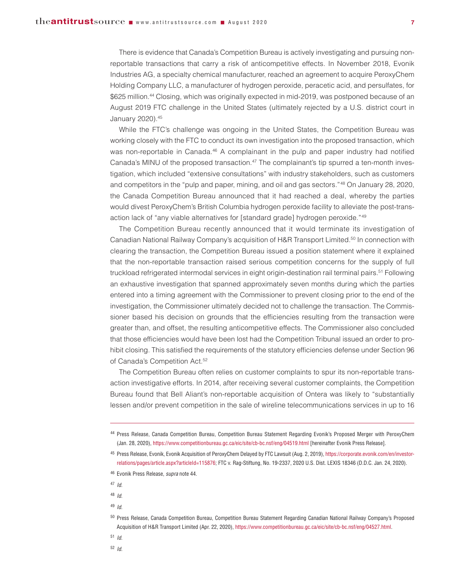There is evidence that Canada's Competition Bureau is actively investigating and pursuing nonreportable transactions that carry a risk of anticompetitive effects. In November 2018, Evonik Industries AG, a specialty chemical manufacturer, reached an agreement to acquire PeroxyChem Holding Company LLC, a manufacturer of hydrogen peroxide, peracetic acid, and persulfates, for \$625 million. <sup>44</sup> Closing, which was originally expected in mid-2019, was postponed because of an August 2019 FTC challenge in the United States (ultimately rejected by a U.S. district court in January 2020). 45

While the FTC's challenge was ongoing in the United States, the Competition Bureau was working closely with the FTC to conduct its own investigation into the proposed transaction, which was non-reportable in Canada.<sup>46</sup> A complainant in the pulp and paper industry had notified Canada's MINU of the proposed transaction. <sup>47</sup> The complainant's tip spurred a ten-month investigation, which included "extensive consultations" with industry stakeholders, such as customers and competitors in the "pulp and paper, mining, and oil and gas sectors."48 On January 28, 2020, the Canada Competition Bureau announced that it had reached a deal, whereby the parties would divest PeroxyChem's British Columbia hydrogen peroxide facility to alleviate the post-transaction lack of "any viable alternatives for [standard grade] hydrogen peroxide."49

The Competition Bureau recently announced that it would terminate its investigation of Canadian National Railway Company's acquisition of H&R Transport Limited. <sup>50</sup> In connection with clearing the transaction, the Competition Bureau issued a position statement where it explained that the non-reportable transaction raised serious competition concerns for the supply of full truckload refrigerated intermodal services in eight origin-destination rail terminal pairs.<sup>51</sup> Following an exhaustive investigation that spanned approximately seven months during which the parties entered into a timing agreement with the Commissioner to prevent closing prior to the end of the investigation, the Commissioner ultimately decided not to challenge the transaction. The Commissioner based his decision on grounds that the efficiencies resulting from the transaction were greater than, and offset, the resulting anticompetitive effects. The Commissioner also concluded that those efficiencies would have been lost had the Competition Tribunal issued an order to prohibit closing. This satisfied the requirements of the statutory efficiencies defense under Section 96 of Canada's Competition Act.<sup>52</sup>

The Competition Bureau often relies on customer complaints to spur its non-reportable transaction investigative efforts. In 2014, after receiving several customer complaints, the Competition Bureau found that Bell Aliant's non-reportable acquisition of Ontera was likely to "substantially lessen and/or prevent competition in the sale of wireline telecommunications services in up to 16

<sup>47</sup> *Id.*

<sup>48</sup> *Id.*

<sup>49</sup> *Id.*

<sup>51</sup> *Id.*

<sup>44</sup> Press Release, Canada Competition Bureau, Competition Bureau Statement Regarding Evonik's Proposed Merger with PeroxyChem (Jan. 28, 2020), https://www.competitionbureau.gc.ca/eic/site/cb-bc.nsf/eng/04519.html [hereinafter Evonik Press Release].

<sup>45</sup> Press Release, Evonik, Evonik Acquisition of PeroxyChem Delayed by FTC Lawsuit (Aug. 2, 2019), https://corporate.evonik.com/en/investorrelations/pages/article.aspx?articleId=115876; FTC v. Rag-Stiftung, No. 19-2337, 2020 U.S. Dist. LEXIS 18346 (D.D.C. Jan. 24, 2020).

<sup>46</sup> Evonik Press Release, *supra* note 44.

<sup>50</sup> Press Release, Canada Competition Bureau, Competition Bureau Statement Regarding Canadian National Railway Company's Proposed Acquisition of H&R Transport Limited (Apr. 22, 2020), https://www.competitionbureau.gc.ca/eic/site/cb-bc.nsf/eng/04527.html.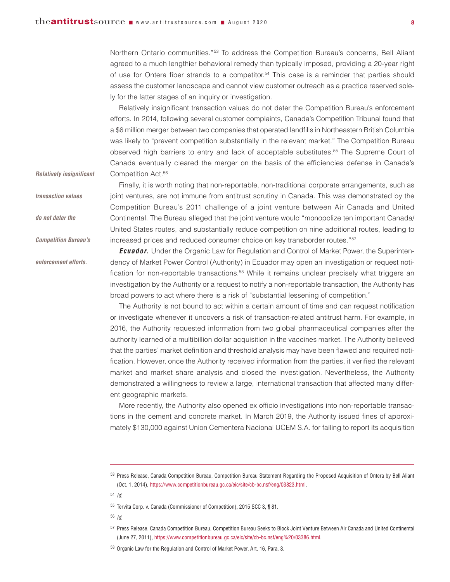Northern Ontario communities."53 To address the Competition Bureau's concerns, Bell Aliant agreed to a much lengthier behavioral remedy than typically imposed, providing a 20-year right of use for Ontera fiber strands to a competitor.<sup>54</sup> This case is a reminder that parties should assess the customer landscape and cannot view customer outreach as a practice reserved solely for the latter stages of an inquiry or investigation.

Relatively insignificant transaction values do not deter the Competition Bureau's enforcement efforts. In 2014, following several customer complaints, Canada's Competition Tribunal found that a \$6 million merger between two companies that operated landfills in Northeastern British Columbia was likely to "prevent competition substantially in the relevant market." The Competition Bureau observed high barriers to entry and lack of acceptable substitutes. <sup>55</sup> The Supreme Court of Canada eventually cleared the merger on the basis of the efficiencies defense in Canada's Competition Act. 56

Finally, it is worth noting that non-reportable, non-traditional corporate arrangements, such as joint ventures, are not immune from antitrust scrutiny in Canada. This was demonstrated by the Competition Bureau's 2011 challenge of a joint venture between Air Canada and United Continental. The Bureau alleged that the joint venture would "monopolize ten important Canada/ United States routes, and substantially reduce competition on nine additional routes, leading to

*Relatively insignificant*

- *transaction values do not deter the*
- *Competition Bureau's*

*enforcement efforts.*

increased prices and reduced consumer choice on key transborder routes."57 **Ecuador.** Under the Organic Law for Regulation and Control of Market Power, the Superintendency of Market Power Control (Authority) in Ecuador may open an investigation or request notification for non-reportable transactions.<sup>58</sup> While it remains unclear precisely what triggers an investigation by the Authority or a request to notify a non-reportable transaction, the Authority has broad powers to act where there is a risk of "substantial lessening of competition."

The Authority is not bound to act within a certain amount of time and can request notification or investigate whenever it uncovers a risk of transaction-related antitrust harm. For example, in 2016, the Authority requested information from two global pharmaceutical companies after the authority learned of a multibillion dollar acquisition in the vaccines market. The Authority believed that the parties' market definition and threshold analysis may have been flawed and required notification. However, once the Authority received information from the parties, it verified the relevant market and market share analysis and closed the investigation. Nevertheless, the Authority demonstrated a willingness to review a large, international transaction that affected many different geographic markets.

More recently, the Authority also opened ex officio investigations into non-reportable transactions in the cement and concrete market. In March 2019, the Authority issued fines of approximately \$130,000 against Union Cementera Nacional UCEM S.A. for failing to report its acquisition

<sup>54</sup> *Id.*

<sup>55</sup> Tervita Corp. v. Canada (Commissioner of Competition), 2015 SCC 3, ¶ 81.

<sup>53</sup> Press Release, Canada Competition Bureau, Competition Bureau Statement Regarding the Proposed Acquisition of Ontera by Bell Aliant (Oct. 1, 2014), https://www.competitionbureau.gc.ca/eic/site/cb-bc.nsf/eng/03823.html.

<sup>57</sup> Press Release, Canada Competition Bureau, Competition Bureau Seeks to Block Joint Venture Between Air Canada and United Continental (June 27, 2011), https://www.competitionbureau.gc.ca/eic/site/cb-bc.nsf/eng%20/03386.html.

<sup>58</sup> Organic Law for the Regulation and Control of Market Power, Art. 16, Para. 3.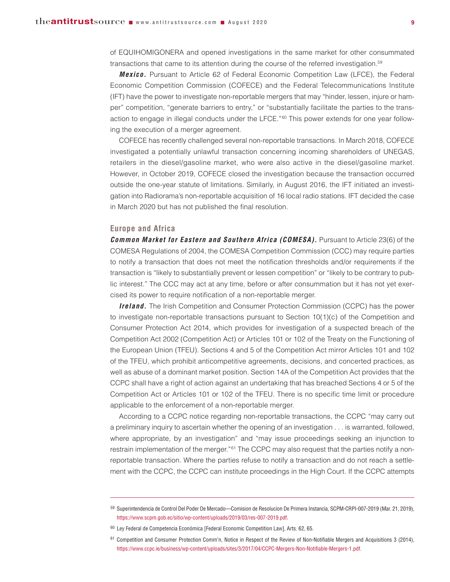of EQUIHOMIGONERA and opened investigations in the same market for other consummated transactions that came to its attention during the course of the referred investigation. 59

*Mexico.* Pursuant to Article 62 of Federal Economic Competition Law (LFCE), the Federal Economic Competition Commission (COFECE) and the Federal Telecommunications Institute (IFT) have the power to investigate non-reportable mergers that may "hinder, lessen, injure or hamper" competition, "generate barriers to entry," or "substantially facilitate the parties to the transaction to engage in illegal conducts under the LFCE." $60$  This power extends for one year following the execution of a merger agreement.

COFECE has recently challenged several non-reportable transactions. In March 2018, COFECE investigated a potentially unlawful transaction concerning incoming shareholders of UNEGAS, retailers in the diesel/gasoline market, who were also active in the diesel/gasoline market. However, in October 2019, COFECE closed the investigation because the transaction occurred outside the one-year statute of limitations. Similarly, in August 2016, the IFT initiated an investigation into Radiorama's non-reportable acquisition of 16 local radio stations. IFT decided the case in March 2020 but has not published the final resolution.

### **Europe and Africa**

*Common Market for Eastern and Southern Africa (COMESA).* Pursuant to Article 23(6) of the COMESA Regulations of 2004, the COMESA Competition Commission (CCC) may require parties to notify a transaction that does not meet the notification thresholds and/or requirements if the transaction is "likely to substantially prevent or lessen competition" or "likely to be contrary to public interest." The CCC may act at any time, before or after consummation but it has not yet exercised its power to require notification of a non-reportable merger.

*Ireland.* The Irish Competition and Consumer Protection Commission (CCPC) has the power to investigate non-reportable transactions pursuant to Section  $10(1)(c)$  of the Competition and Consumer Protection Act 2014, which provides for investigation of a suspected breach of the Competition Act 2002 (Competition Act) or Articles 101 or 102 of the Treaty on the Functioning of the European Union (TFEU). Sections 4 and 5 of the Competition Act mirror Articles 101 and 102 of the TFEU, which prohibit anticompetitive agreements, decisions, and concerted practices, as well as abuse of a dominant market position. Section 14A of the Competition Act provides that the CCPC shall have a right of action against an undertaking that has breached Sections 4 or 5 of the Competition Act or Articles 101 or 102 of the TFEU. There is no specific time limit or procedure applicable to the enforcement of a non-reportable merger.

According to a CCPC notice regarding non-reportable transactions, the CCPC "may carry out a preliminary inquiry to ascertain whether the opening of an investigation . . . is warranted, followed, where appropriate, by an investigation" and "may issue proceedings seeking an injunction to restrain implementation of the merger."<sup>61</sup> The CCPC may also request that the parties notify a nonreportable transaction. Where the parties refuse to notify a transaction and do not reach a settlement with the CCPC, the CCPC can institute proceedings in the High Court. If the CCPC attempts

<sup>59</sup> Superintendencia de Control Del Poder De Mercado—Comision de Resolucion De Primera Instancia, SCPM-CRPI-007-2019 (Mar. 21, 2019), https://www.scpm.gob.ec/sitio/wp-content/uploads/2019/03/res-007-2019.pdf.

<sup>60</sup> Ley Federal de Competencia Económica [Federal Economic Competition Law], Arts. 62, 65.

 $61$  Competition and Consumer Protection Comm'n, Notice in Respect of the Review of Non-Notifiable Mergers and Acquisitions 3 (2014). https://www.ccpc.ie/business/wp-content/uploads/sites/3/2017/04/CCPC-Mergers-Non-Notifiable-Mergers-1.pdf.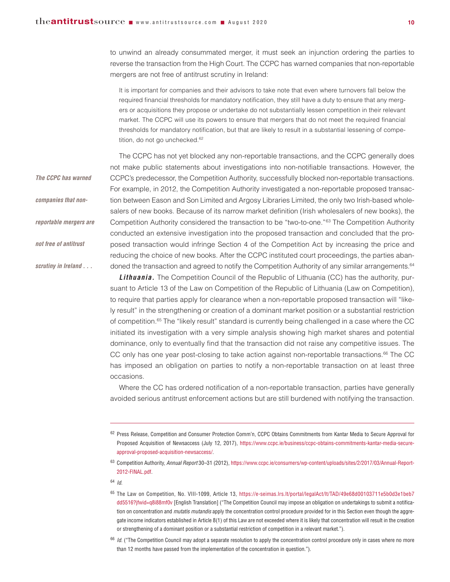to unwind an already consummated merger, it must seek an injunction ordering the parties to reverse the transaction from the High Court. The CCPC has warned companies that non-reportable mergers are not free of antitrust scrutiny in Ireland:

It is important for companies and their advisors to take note that even where turnovers fall below the required financial thresholds for mandatory notification, they still have a duty to ensure that any mergers or acquisitions they propose or undertake do not substantially lessen competition in their relevant market. The CCPC will use its powers to ensure that mergers that do not meet the required financial thresholds for mandatory notification, but that are likely to result in a substantial lessening of competition, do not go unchecked.<sup>62</sup>

The CCPC has not yet blocked any non-reportable transactions, and the CCPC generally does not make public statements about investigations into non-notifiable transactions. However, the CCPC's predecessor, the Competition Authority, successfully blocked non-reportable transactions. For example, in 2012, the Competition Authority investigated a non-reportable proposed transaction between Eason and Son Limited and Argosy Libraries Limited, the only two Irish-based wholesalers of new books. Because of its narrow market definition (Irish wholesalers of new books), the Competition Authority considered the transaction to be "two-to-one."63 The Competition Authority conducted an extensive investigation into the proposed transaction and concluded that the proposed transaction would infringe Section 4 of the Competition Act by increasing the price and reducing the choice of new books. After the CCPC instituted court proceedings, the parties abandoned the transaction and agreed to notify the Competition Authority of any similar arrangements.<sup>64</sup> *The CCPC has warned companies that nonreportable mergers are not free of antitrust scrutiny in Ireland . . .*

**Lithuania.** The Competition Council of the Republic of Lithuania (CC) has the authority, pursuant to Article 13 of the Law on Competition of the Republic of Lithuania (Law on Competition), to require that parties apply for clearance when a non-reportable proposed transaction will "likely result" in the strengthening or creation of a dominant market position or a substantial restriction of competition.<sup>65</sup> The "likely result" standard is currently being challenged in a case where the CC initiated its investigation with a very simple analysis showing high market shares and potential dominance, only to eventually find that the transaction did not raise any competitive issues. The CC only has one year post-closing to take action against non-reportable transactions. <sup>66</sup> The CC has imposed an obligation on parties to notify a non-reportable transaction on at least three occasions.

Where the CC has ordered notification of a non-reportable transaction, parties have generally avoided serious antitrust enforcement actions but are still burdened with notifying the transaction.

<sup>63</sup> Competition Authority, *Annual Report* 30–31 (2012), https://www.ccpc.ie/consumers/wp-content/uploads/sites/2/2017/03/Annual-Report-2012-FINAL.pdf.

<sup>64</sup> *Id.*

<sup>65</sup> The Law on Competition, No. VIII-1099, Article 13, [https://e-seimas.lrs.lt/portal/legalAct/lt/TAD/49e68d00103711e5b0d3e1beb7](https://e-seimas.lrs.lt/portal/legalAct/lt/TAD/49e68d00103711e5b0d3e1beb7dd5516?jfwid=q8i88mf0v) [dd5516?jfwid=q8i88mf0v](https://e-seimas.lrs.lt/portal/legalAct/lt/TAD/49e68d00103711e5b0d3e1beb7dd5516?jfwid=q8i88mf0v) [English Translation] ("The Competition Council may impose an obligation on undertakings to submit a notification on concentration and *mutatis mutandis* apply the concentration control procedure provided for in this Section even though the aggregate income indicators established in Article 8(1) of this Law are not exceeded where it is likely that concentration will result in the creation or strengthening of a dominant position or a substantial restriction of competition in a relevant market.").

<sup>62</sup> Press Release, Competition and Consumer Protection Comm'n, CCPC Obtains Commitments from Kantar Media to Secure Approval for Proposed Acquisition of Newsaccess (July 12, 2017), https://www.ccpc.ie/business/ccpc-obtains-commitments-kantar-media-secureapproval-proposed-acquisition-newsaccess/.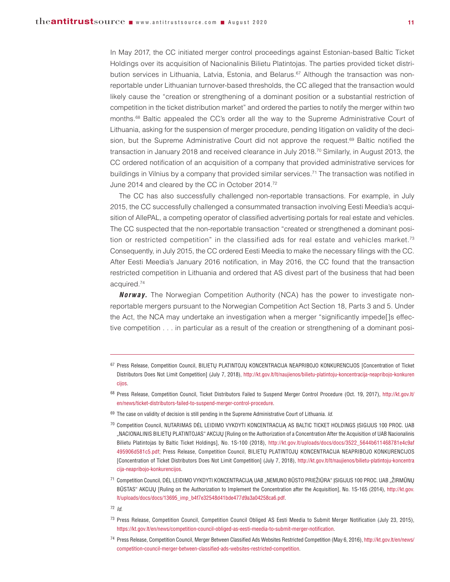In May 2017, the CC initiated merger control proceedings against Estonian-based Baltic Ticket Holdings over its acquisition of Nacionalinis Bilietu Platintojas. The parties provided ticket distribution services in Lithuania, Latvia, Estonia, and Belarus. <sup>67</sup> Although the transaction was nonreportable under Lithuanian turnover-based thresholds, the CC alleged that the transaction would likely cause the "creation or strengthening of a dominant position or a substantial restriction of competition in the ticket distribution market" and ordered the parties to notify the merger within two months. <sup>68</sup> Baltic appealed the CC's order all the way to the Supreme Administrative Court of Lithuania, asking for the suspension of merger procedure, pending litigation on validity of the decision, but the Supreme Administrative Court did not approve the request.<sup>69</sup> Baltic notified the transaction in January 2018 and received clearance in July 2018. <sup>70</sup> Similarly, in August 2013, the CC ordered notification of an acquisition of a company that provided administrative services for buildings in Vilnius by a company that provided similar services. <sup>71</sup> The transaction was notified in June 2014 and cleared by the CC in October 2014.<sup>72</sup>

The CC has also successfully challenged non-reportable transactions. For example, in July 2015, the CC successfully challenged a consummated transaction involving Eesti Meedia's acquisition of AllePAL, a competing operator of classified advertising portals for real estate and vehicles. The CC suspected that the non-reportable transaction "created or strengthened a dominant position or restricted competition" in the classified ads for real estate and vehicles market.<sup>73</sup> Consequently, in July 2015, the CC ordered Eesti Meedia to make the necessary filings with the CC. After Eesti Meedia's January 2016 notification, in May 2016, the CC found that the transaction restricted competition in Lithuania and ordered that AS divest part of the business that had been acquired. 74

**Norway.** The Norwegian Competition Authority (NCA) has the power to investigate nonreportable mergers pursuant to the Norwegian Competition Act Section 18, Parts 3 and 5. Under the Act, the NCA may undertake an investigation when a merger "significantly impede[]s effective competition . . . in particular as a result of the creation or strengthening of a dominant posi-

- <sup>67</sup> Press Release, Competition Council, BILIETŲ PLATINTOJŲ KONCENTRACIJA NEAPRIBOJO KONKURENCIJOS [Concentration of Ticket Distributors Does Not Limit Competition] (July 7, 2018), [http://kt.gov.lt/lt/naujienos/bilietu-platintoju-koncentracija-neapribojo-konkuren](http://kt.gov.lt/lt/naujienos/bilietu-platintoju-koncentracija-neapribojo-konkurencijos) [cijos.](http://kt.gov.lt/lt/naujienos/bilietu-platintoju-koncentracija-neapribojo-konkurencijos)
- <sup>68</sup> Press Release, Competition Council, Ticket Distributors Failed to Suspend Merger Control Procedure (Oct. 19, 2017), [http://kt.gov.lt/](http://kt.gov.lt/en/news/ticket-distributors-failed-to-suspend-merger-control-procedure) [en/news/ticket-distributors-failed-to-suspend-merger-control-procedure.](http://kt.gov.lt/en/news/ticket-distributors-failed-to-suspend-merger-control-procedure)
- <sup>69</sup> The case on validity of decision is still pending in the Supreme Administrative Court of Lithuania. *Id.*
- <sup>70</sup> Competition Council, NUTARIMAS DĖL LEIDIMO VYKDYTI KONCENTRACIJĄ AS BALTIC TICKET HOLDINGS ĮSIGIJUS 100 PROC. UAB "NACIONALINIS BILIETŲ PLATINTOJAS" AKCIJŲ [Ruling on the Authorization of a Concentration After the Acquisition of UAB Nacionalinis Bilietu Platintojas by Baltic Ticket Holdings], No. 1S-100 (2018), [http://kt.gov.lt/uploads/docs/docs/3522\\_5644b611468781e4c9af](http://kt.gov.lt/uploads/docs/docs/3522_5644b611468781e4c9af495906d581c5.pdf) [495906d581c5.pdf;](http://kt.gov.lt/uploads/docs/docs/3522_5644b611468781e4c9af495906d581c5.pdf) Press Release, Competition Council, BILIETŲ PLATINTOJŲ KONCENTRACIJA NEAPRIBOJO KONKURENCIJOS [Concentration of Ticket Distributors Does Not Limit Competition] (July 7, 2018), [http://kt.gov.lt/lt/naujienos/bilietu-platintoju-koncentra](http://kt.gov.lt/lt/naujienos/bilietu-platintoju-koncentracija-neapribojo-konkurencijos) [cija-neapribojo-konkurencijos.](http://kt.gov.lt/lt/naujienos/bilietu-platintoju-koncentracija-neapribojo-konkurencijos)
- 71 Competition Council, DĖL LEIDIMO VYKDYTI KONCENTRACIJĄ UAB "NEMUNO BŪSTO PRIEŽIŪRA" ĮSIGIJUS 100 PROC. UAB "ŽIRMŪNU BŪSTAS" AKCIJŲ [Ruling on the Authorization to Implement the Concentration after the Acquisition], No. 1S-165 (2014), [http://kt.gov.](http://kt.gov.lt/uploads/docs/docs/13695_imp_b4f7e32548d41bde477d9a3a04258ca6.pdf) [lt/uploads/docs/docs/13695\\_imp\\_b4f7e32548d41bde477d9a3a04258ca6.pdf.](http://kt.gov.lt/uploads/docs/docs/13695_imp_b4f7e32548d41bde477d9a3a04258ca6.pdf)
- <sup>72</sup> *Id.*
- <sup>73</sup> Press Release, Competition Council, Competition Council Obliged AS Eesti Meedia to Submit Merger Notification (July 23, 2015), https://kt.gov.lt/en/news/competition-council-obliged-as-eesti-meedia-to-submit-merger-notification.
- <sup>74</sup> Press Release, Competition Council, Merger Between Classified Ads Websites Restricted Competition (May 6, 2016), [http://kt.gov.lt/en/news/](http://kt.gov.lt/en/news/competition-council-merger-between-classified-ads-websites-restricted-competition) [competition-council-merger-between-classified-ads-websites-restricted-competition.](http://kt.gov.lt/en/news/competition-council-merger-between-classified-ads-websites-restricted-competition)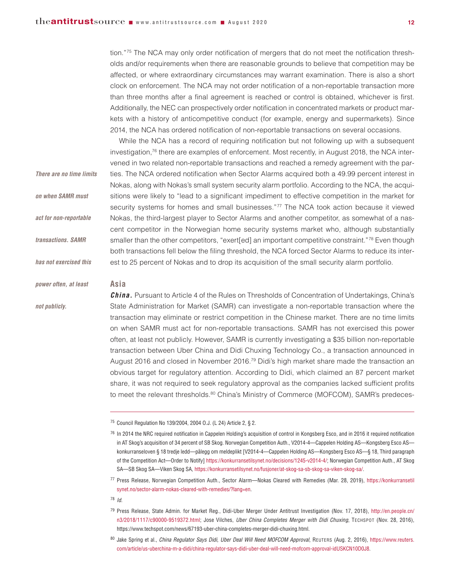tion."75 The NCA may only order notification of mergers that do not meet the notification thresholds and/or requirements when there are reasonable grounds to believe that competition may be affected, or where extraordinary circumstances may warrant examination. There is also a short clock on enforcement. The NCA may not order notification of a non-reportable transaction more than three months after a final agreement is reached or control is obtained, whichever is first. Additionally, the NEC can prospectively order notification in concentrated markets or product markets with a history of anticompetitive conduct (for example, energy and supermarkets). Since 2014, the NCA has ordered notification of non-reportable transactions on several occasions.

While the NCA has a record of requiring notification but not following up with a subsequent investigation,<sup>76</sup> there are examples of enforcement. Most recently, in August 2018, the NCA intervened in two related non-reportable transactions and reached a remedy agreement with the parties. The NCA ordered notification when Sector Alarms acquired both a 49.99 percent interest in Nokas, along with Nokas's small system security alarm portfolio. According to the NCA, the acquisitions were likely to "lead to a significant impediment to effective competition in the market for security systems for homes and small businesses."<sup>77</sup> The NCA took action because it viewed Nokas, the third-largest player to Sector Alarms and another competitor, as somewhat of a nascent competitor in the Norwegian home security systems market who, although substantially smaller than the other competitors, "exert[ed] an important competitive constraint."<sup>78</sup> Even though both transactions fell below the filing threshold, the NCA forced Sector Alarms to reduce its interest to 25 percent of Nokas and to drop its acquisition of the small security alarm portfolio. *There are no time limits on when SAMR must act for non-reportable transactions. SAMR has not exercised this*

#### **Asia**

*not publicly.*

*power often, at least*

*China.* Pursuant to Article 4 of the Rules on Thresholds of Concentration of Undertakings, China's State Administration for Market (SAMR) can investigate a non-reportable transaction where the transaction may eliminate or restrict competition in the Chinese market. There are no time limits on when SAMR must act for non-reportable transactions. SAMR has not exercised this power often, at least not publicly. However, SAMR is currently investigating a \$35 billion non-reportable transaction between Uber China and Didi Chuxing Technology Co., a transaction announced in August 2016 and closed in November 2016.<sup>79</sup> Didi's high market share made the transaction an obvious target for regulatory attention. According to Didi, which claimed an 87 percent market share, it was not required to seek regulatory approval as the companies lacked sufficient profits to meet the relevant thresholds.<sup>80</sup> China's Ministry of Commerce (MOFCOM), SAMR's predeces-

<sup>75</sup> Council Regulation No 139/2004, 2004 O.J. (L 24) Article 2, § 2.

<sup>77</sup> Press Release, Norwegian Competition Auth., Sector Alarm—Nokas Cleared with Remedies (Mar. 28, 2019), [https://konkurransetil](https://konkurransetilsynet.no/sector-alarm-nokas-cleared-with-remedies/?lang=en) [synet.no/sector-alarm-nokas-cleared-with-remedies/?lang=en.](https://konkurransetilsynet.no/sector-alarm-nokas-cleared-with-remedies/?lang=en)

<sup>&</sup>lt;sup>76</sup> In 2014 the NRC required notification in Cappelen Holding's acquisition of control in Kongsberg Esco, and in 2016 it required notification in AT Skog's acquisition of 34 percent of SB Skog. Norwegian Competition Auth., V2014-4—Cappelen Holding AS—Kongsberg Esco AS konkurranseloven § 18 tredje ledd—pålegg om meldeplikt [V2014-4—Cappelen Holding AS—Kongsberg Esco AS—§ 18, Third paragraph of the Competition Act—Order to Notify] https://konkurransetilsynet.no/decisions/1245-v2014-4/; Norwegian Competition Auth., AT Skog SA—SB Skog SA—Viken Skog SA, https://konkurransetilsynet.no/fusjoner/at-skog-sa-sb-skog-sa-viken-skog-sa/.

<sup>79</sup> Press Release, State Admin. for Market Reg., Didi-Uber Merger Under Antitrust Investigation (Nov. 17, 2018), [http://en.people.cn/](http://en.people.cn/n3/2018/1117/c90000-9519372.html) [n3/2018/1117/c90000-9519372.html;](http://en.people.cn/n3/2018/1117/c90000-9519372.html) Jose Vilches, *Uber China Completes Merger with Didi Chuxing*, TECHSPOT (Nov. 28, 2016), https://www.techspot.com/news/67193-uber-china-completes-merger-didi-chuxing.html.

<sup>80</sup> Jake Spring et al., *China Regulator Says Didi, Uber Deal Will Need MOFCOM Approval*, REUTERS (Aug. 2, 2016), [https://www.reuters.](https://www.reuters.com/article/us-uberchina-m-a-didi/china-regulator-says-didi-uber-deal-will-need-mofcom-approval-idUSKCN10D0J8) [com/article/us-uberchina-m-a-didi/china-regulator-says-didi-uber-deal-will-need-mofcom-approval-idUSKCN10D0J8.](https://www.reuters.com/article/us-uberchina-m-a-didi/china-regulator-says-didi-uber-deal-will-need-mofcom-approval-idUSKCN10D0J8)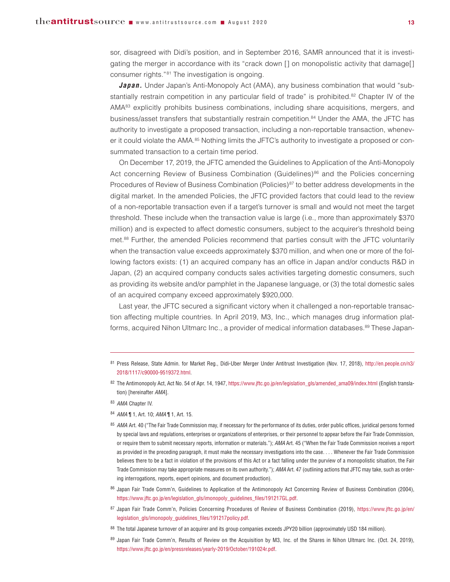sor, disagreed with Didi's position, and in September 2016, SAMR announced that it is investigating the merger in accordance with its "crack down [] on monopolistic activity that damage[] consumer rights."81 The investigation is ongoing.

*Japan.* Under Japan's Anti-Monopoly Act (AMA), any business combination that would "substantially restrain competition in any particular field of trade" is prohibited.<sup>82</sup> Chapter IV of the AMA83 explicitly prohibits business combinations, including share acquisitions, mergers, and business/asset transfers that substantially restrain competition. <sup>84</sup> Under the AMA, the JFTC has authority to investigate a proposed transaction, including a non-reportable transaction, whenever it could violate the AMA.<sup>85</sup> Nothing limits the JFTC's authority to investigate a proposed or consummated transaction to a certain time period.

On December 17, 2019, the JFTC amended the Guidelines to Application of the Anti-Monopoly Act concerning Review of Business Combination (Guidelines)<sup>86</sup> and the Policies concerning Procedures of Review of Business Combination (Policies) $^{87}$  to better address developments in the digital market. In the amended Policies, the JFTC provided factors that could lead to the review of a non-reportable transaction even if a target's turnover is small and would not meet the target threshold. These include when the transaction value is large (i.e., more than approximately \$370 million) and is expected to affect domestic consumers, subject to the acquirer's threshold being met.<sup>88</sup> Further, the amended Policies recommend that parties consult with the JFTC voluntarily when the transaction value exceeds approximately \$370 million, and when one or more of the following factors exists: (1) an acquired company has an office in Japan and/or conducts R&D in Japan, (2) an acquired company conducts sales activities targeting domestic consumers, such as providing its website and/or pamphlet in the Japanese language, or (3) the total domestic sales of an acquired company exceed approximately \$920,000.

Last year, the JFTC secured a significant victory when it challenged a non-reportable transaction affecting multiple countries. In April 2019, M3, Inc., which manages drug information platforms, acquired Nihon Ultmarc Inc., a provider of medical information databases.<sup>89</sup> These Japan-

- 82 The Antimonopoly Act, Act No. 54 of Apr. 14, 1947, https://www.jftc.go.jp/en/legislation\_gls/amended\_ama09/index.html (English translation) [hereinafter *AMA*].
- <sup>83</sup> *AMA* Chapter IV.
- <sup>84</sup> *AMA* ¶ 1, Art. 10; *AMA* ¶ 1, Art. 15.
- 85 AMA Art. 40 ("The Fair Trade Commission may, if necessary for the performance of its duties, order public offices, juridical persons formed by special laws and regulations, enterprises or organizations of enterprises, or their personnel to appear before the Fair Trade Commission, or require them to submit necessary reports, information or materials."); *AMA* Art. 45 ("When the Fair Trade Commission receives a report as provided in the preceding paragraph, it must make the necessary investigations into the case. . . . Whenever the Fair Trade Commission believes there to be a fact in violation of the provisions of this Act or a fact falling under the purview of a monopolistic situation, the Fair Trade Commission may take appropriate measures on its own authority."); *AMA* Art. 47 (outlining actions that JFTC may take, such as ordering interrogations, reports, expert opinions, and document production).
- 86 Japan Fair Trade Comm'n, Guidelines to Application of the Antimonopoly Act Concerning Review of Business Combination (2004), https://www.jftc.go.jp/en/legislation\_gls/imonopoly\_guidelines\_files/191217GL.pdf.
- <sup>87</sup> Japan Fair Trade Comm'n, Policies Concerning Procedures of Review of Business Combination (2019), [https://www.jftc.go.jp/en/](https://www.jftc.go.jp/en/legislation_gls/imonopoly_guidelines_files/191217policy.pdf) [legislation\\_gls/imonopoly\\_guidelines\\_files/191217policy.pdf.](https://www.jftc.go.jp/en/legislation_gls/imonopoly_guidelines_files/191217policy.pdf)
- 88 The total Japanese turnover of an acquirer and its group companies exceeds JPY20 billion (approximately USD 184 million).
- 89 Japan Fair Trade Comm'n, Results of Review on the Acquisition by M3, Inc. of the Shares in Nihon Ultmarc Inc. (Oct. 24, 2019), https://www.jftc.go.jp/en/pressreleases/yearly-2019/October/191024r.pdf.

<sup>81</sup> Press Release, State Admin. for Market Reg., Didi-Uber Merger Under Antitrust Investigation (Nov. 17, 2018), [http://en.people.cn/n3/](http://en.people.cn/n3/2018/1117/c90000-9519372.html) [2018/1117/c90000-9519372.html.](http://en.people.cn/n3/2018/1117/c90000-9519372.html)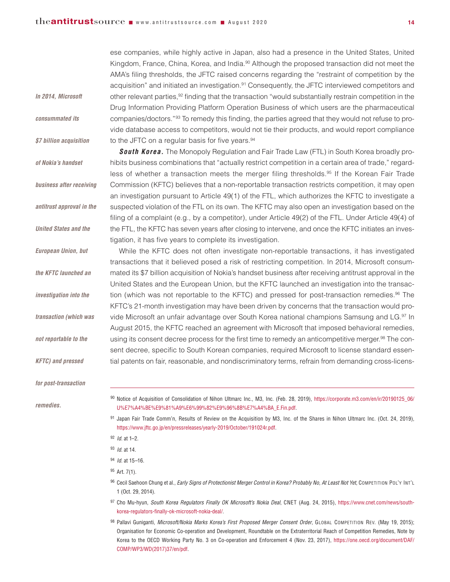ese companies, while highly active in Japan, also had a presence in the United States, United Kingdom, France, China, Korea, and India.<sup>90</sup> Although the proposed transaction did not meet the AMA's filing thresholds, the JFTC raised concerns regarding the "restraint of competition by the acquisition" and initiated an investigation.<sup>91</sup> Consequently, the JFTC interviewed competitors and other relevant parties,<sup>92</sup> finding that the transaction "would substantially restrain competition in the Drug Information Providing Platform Operation Business of which users are the pharmaceutical companies/doctors."93 To remedy this finding, the parties agreed that they would not refuse to provide database access to competitors, would not tie their products, and would report compliance to the JFTC on a regular basis for five years.<sup>94</sup>

*South Korea.* The Monopoly Regulation and Fair Trade Law (FTL) in South Korea broadly prohibits business combinations that "actually restrict competition in a certain area of trade," regardless of whether a transaction meets the merger filing thresholds.<sup>95</sup> If the Korean Fair Trade Commission (KFTC) believes that a non-reportable transaction restricts competition, it may open an investigation pursuant to Article 49(1) of the FTL, which authorizes the KFTC to investigate a suspected violation of the FTL on its own. The KFTC may also open an investigation based on the filing of a complaint (e.g., by a competitor), under Article 49(2) of the FTL. Under Article 49(4) of the FTL, the KFTC has seven years after closing to intervene, and once the KFTC initiates an investigation, it has five years to complete its investigation.

While the KFTC does not often investigate non-reportable transactions, it has investigated transactions that it believed posed a risk of restricting competition. In 2014, Microsoft consummated its \$7 billion acquisition of Nokia's handset business after receiving antitrust approval in the United States and the European Union, but the KFTC launched an investigation into the transaction (which was not reportable to the KFTC) and pressed for post-transaction remedies.<sup>96</sup> The KFTC's 21-month investigation may have been driven by concerns that the transaction would provide Microsoft an unfair advantage over South Korea national champions Samsung and LG.<sup>97</sup> In August 2015, the KFTC reached an agreement with Microsoft that imposed behavioral remedies, using its consent decree process for the first time to remedy an anticompetitive merger.<sup>98</sup> The consent decree, specific to South Korean companies, required Microsoft to license standard essential patents on fair, reasonable, and nondiscriminatory terms, refrain from demanding cross-licens-

*for post-transaction*

*KFTC) and pressed*

*In 2014, Microsoft*

*consummated its*

*\$7 billion acquisition*

*of Nokia's handset*

*business after receiving*

*antitrust approval in the*

*United States and the*

*European Union, but*

*the KFTC launched an*

*investigation into the*

*transaction (which was*

*not reportable to the*

*remedies.*

<sup>90</sup> Notice of Acquisition of Consolidation of Nihon Ultmarc Inc., M3, Inc. (Feb. 28, 2019), [https://corporate.m3.com/en/ir/20190125\\_06/](https://corporate.m3.com/en/ir/20190125_06/U%E7%A4%BE%E9%81%A9%E6%99%82%E9%96%8B%E7%A4%BA_E.Fin.pdf) [U%E7%A4%BE%E9%81%A9%E6%99%82%E9%96%8B%E7%A4%BA\\_E.Fin.pdf](https://corporate.m3.com/en/ir/20190125_06/U%E7%A4%BE%E9%81%A9%E6%99%82%E9%96%8B%E7%A4%BA_E.Fin.pdf).

- <sup>91</sup> Japan Fair Trade Comm'n, Results of Review on the Acquisition by M3, Inc. of the Shares in Nihon Ultmarc Inc. (Oct. 24, 2019), https://www.jftc.go.jp/en/pressreleases/yearly-2019/October/191024r.pdf.
- <sup>92</sup> *Id.* at 1–2.
- <sup>93</sup> *Id.* at 14.
- <sup>94</sup> *Id.* at 15–16.
- <sup>95</sup> Art. 7(1).
- <sup>96</sup> Cecil Saehoon Chung et al., Early Signs of Protectionist Merger Control in Korea? Probably No, At Least Not Yet, CompETITION POL'Y INT'L 1 (Oct. 29, 2014).
- <sup>97</sup> Cho Mu-hyun, *South Korea Regulators Finally OK Microsoft's Nokia Deal*, CNET (Aug. 24, 2015), https://www.cnet.com/news/southkorea-regulators-finally-ok-microsoft-nokia-deal/.
- <sup>98</sup> Pallavi Guniganti, *Microsoft/Nokia Marks Korea's First Proposed Merger Consent Order*, GLOBAL COMPETITION REV. (May 19, 2015); Organisation for Economic Co-operation and Development, Roundtable on the Extraterritorial Reach of Competition Remedies, Note by Korea to the OECD Working Party No. 3 on Co-operation and Enforcement 4 (Nov. 23, 2017), [https://one.oecd.org/document/DAF/](https://one.oecd.org/document/DAF/COMP/WP3/WD(2017)37/en/pdf) [COMP/WP3/WD\(2017\)37/en/pdf.](https://one.oecd.org/document/DAF/COMP/WP3/WD(2017)37/en/pdf)